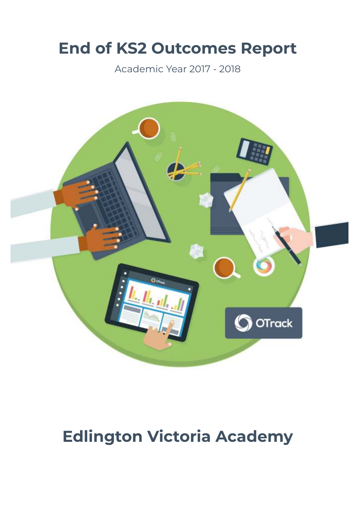# **End of KS2 Outcomes Report**

Academic Year 2017 - 2018



# **Edlington Victoria Academy**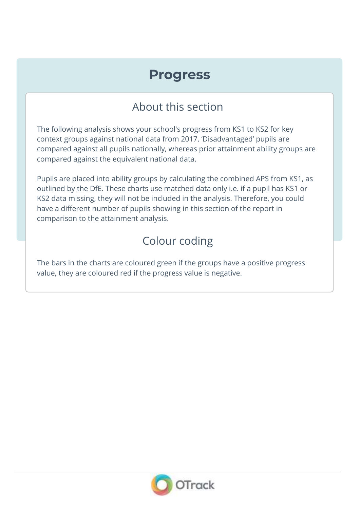## **Progress**

### About this section

The following analysis shows your school's progress from KS1 to KS2 for key context groups against national data from 2017. 'Disadvantaged' pupils are compared against all pupils nationally, whereas prior attainment ability groups are compared against the equivalent national data.

Pupils are placed into ability groups by calculating the combined APS from KS1, as outlined by the DfE. These charts use matched data only i.e. if a pupil has KS1 or KS2 data missing, they will not be included in the analysis. Therefore, you could have a different number of pupils showing in this section of the report in comparison to the attainment analysis.

## Colour coding

The bars in the charts are coloured green if the groups have a positive progress value, they are coloured red if the progress value is negative.

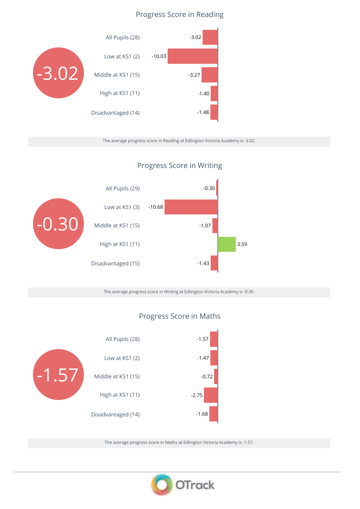### Progress Score in Reading



The average progress score in Reading at Edlington Victoria Academy is -3.02.



### Progress Score in Writing

The average progress score in Writing at Edlington Victoria Academy is -0.30.

### Progress Score in Maths



The average progress score in Maths at Edlington Victoria Academy is -1.57.

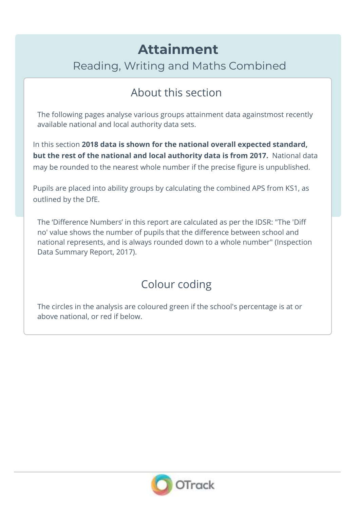# **Attainment**

Reading, Writing and Maths Combined

## About this section

The following pages analyse various groups attainment data againstmost recently available national and local authority data sets.

In this section **2018 data is shown for the national overall expected standard, but the rest of the national and local authority data is from 2017.** National data may be rounded to the nearest whole number if the precise figure is unpublished.

Pupils are placed into ability groups by calculating the combined APS from KS1, as outlined by the DfE.

The 'Difference Numbers' in this report are calculated as per the IDSR: "The 'Diff no' value shows the number of pupils that the difference between school and national represents, and is always rounded down to a whole number" (Inspection Data Summary Report, 2017).

### Colour coding

The circles in the analysis are coloured green if the school's percentage is at or above national, or red if below.

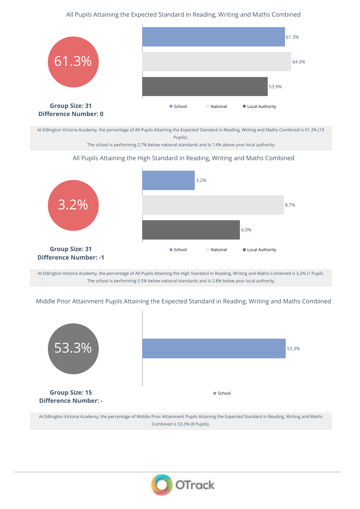### All Pupils Attaining the Expected Standard in Reading, Writing and Maths Combined



At Edlington Victoria Academy, the percentage of All Pupils Attaining the Expected Standard in Reading, Writing and Maths Combined is 61.3% (19 Pupils).

The school is performing 2.7% below national standards and is 7.4% above your local authority.

#### All Pupils Attaining the High Standard in Reading, Writing and Maths Combined



At Edlington Victoria Academy, the percentage of All Pupils Attaining the High Standard in Reading, Writing and Maths Combined is 3.2% (1 Pupil). The school is performing 5.5% below national standards and is 2.8% below your local authority.

Middle Prior Attainment Pupils Attaining the Expected Standard in Reading, Writing and Maths Combined



At Edlington Victoria Academy, the percentage of Middle Prior Attainment Pupils Attaining the Expected Standard in Reading, Writing and Maths Combined is 53.3% (8 Pupils).

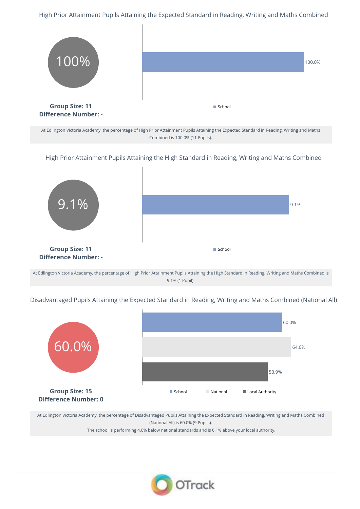High Prior Attainment Pupils Attaining the Expected Standard in Reading, Writing and Maths Combined



At Edlington Victoria Academy, the percentage of High Prior Attainment Pupils Attaining the Expected Standard in Reading, Writing and Maths Combined is 100.0% (11 Pupils).

High Prior Attainment Pupils Attaining the High Standard in Reading, Writing and Maths Combined



At Edlington Victoria Academy, the percentage of High Prior Attainment Pupils Attaining the High Standard in Reading, Writing and Maths Combined is 9.1% (1 Pupil).

Disadvantaged Pupils Attaining the Expected Standard in Reading, Writing and Maths Combined (National All)



At Edlington Victoria Academy, the percentage of Disadvantaged Pupils Attaining the Expected Standard in Reading, Writing and Maths Combined (National All) is 60.0% (9 Pupils).

The school is performing 4.0% below national standards and is 6.1% above your local authority.

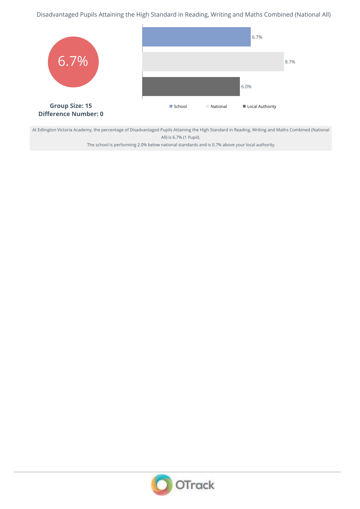Disadvantaged Pupils Attaining the High Standard in Reading, Writing and Maths Combined (National All)



At Edlington Victoria Academy, the percentage of Disadvantaged Pupils Attaining the High Standard in Reading, Writing and Maths Combined (National All) is 6.7% (1 Pupil).

The school is performing 2.0% below national standards and is 0.7% above your local authority.

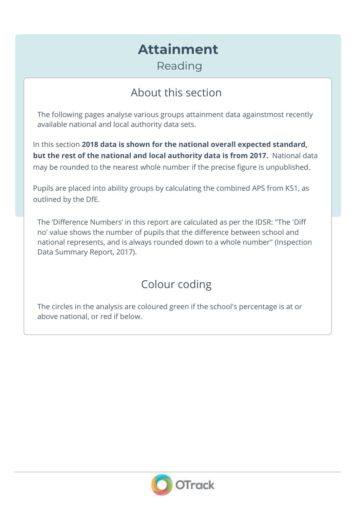# **Attainment**

Reading

## About this section

The following pages analyse various groups attainment data againstmost recently available national and local authority data sets.

In this section **2018 data is shown for the national overall expected standard, but the rest of the national and local authority data is from 2017.** National data may be rounded to the nearest whole number if the precise figure is unpublished.

Pupils are placed into ability groups by calculating the combined APS from KS1, as outlined by the DfE.

The 'Difference Numbers' in this report are calculated as per the IDSR: "The 'Diff no' value shows the number of pupils that the difference between school and national represents, and is always rounded down to a whole number" (Inspection Data Summary Report, 2017).

### Colour coding

The circles in the analysis are coloured green if the school's percentage is at or above national, or red if below.

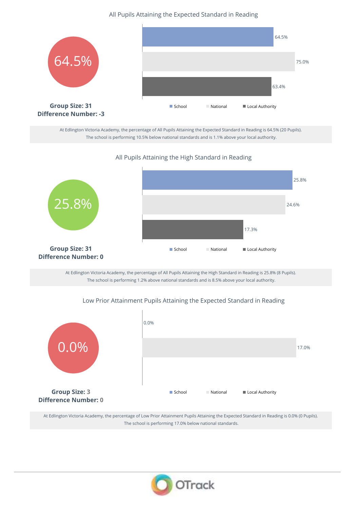All Pupils Attaining the Expected Standard in Reading



At Edlington Victoria Academy, the percentage of All Pupils Attaining the Expected Standard in Reading is 64.5% (20 Pupils). The school is performing 10.5% below national standards and is 1.1% above your local authority.

### All Pupils Attaining the High Standard in Reading



At Edlington Victoria Academy, the percentage of All Pupils Attaining the High Standard in Reading is 25.8% (8 Pupils). The school is performing 1.2% above national standards and is 8.5% above your local authority.

#### Low Prior Attainment Pupils Attaining the Expected Standard in Reading



At Edlington Victoria Academy, the percentage of Low Prior Attainment Pupils Attaining the Expected Standard in Reading is 0.0% (0 Pupils). The school is performing 17.0% below national standards.

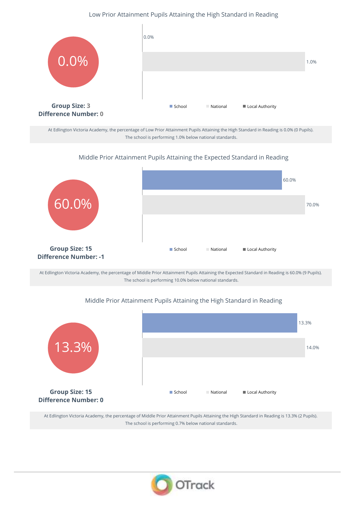#### Low Prior Attainment Pupils Attaining the High Standard in Reading



At Edlington Victoria Academy, the percentage of Low Prior Attainment Pupils Attaining the High Standard in Reading is 0.0% (0 Pupils). The school is performing 1.0% below national standards.

#### Middle Prior Attainment Pupils Attaining the Expected Standard in Reading



At Edlington Victoria Academy, the percentage of Middle Prior Attainment Pupils Attaining the Expected Standard in Reading is 60.0% (9 Pupils). The school is performing 10.0% below national standards.

#### Middle Prior Attainment Pupils Attaining the High Standard in Reading



At Edlington Victoria Academy, the percentage of Middle Prior Attainment Pupils Attaining the High Standard in Reading is 13.3% (2 Pupils). The school is performing 0.7% below national standards.

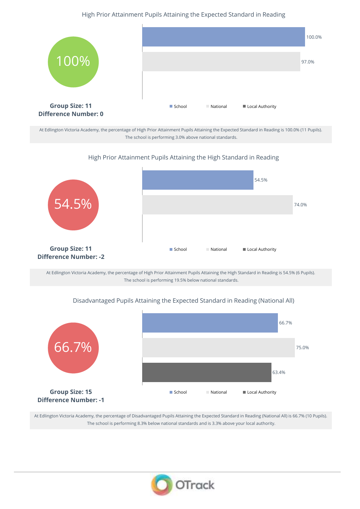### High Prior Attainment Pupils Attaining the Expected Standard in Reading



At Edlington Victoria Academy, the percentage of High Prior Attainment Pupils Attaining the Expected Standard in Reading is 100.0% (11 Pupils). The school is performing 3.0% above national standards.

#### High Prior Attainment Pupils Attaining the High Standard in Reading



At Edlington Victoria Academy, the percentage of High Prior Attainment Pupils Attaining the High Standard in Reading is 54.5% (6 Pupils). The school is performing 19.5% below national standards.

### 66.7% **Group Size: 15 Difference Number: -1** 66.7% 75.0% 63.4% ■ School National ID Local Authority

### Disadvantaged Pupils Attaining the Expected Standard in Reading (National All)

At Edlington Victoria Academy, the percentage of Disadvantaged Pupils Attaining the Expected Standard in Reading (National All) is 66.7% (10 Pupils). The school is performing 8.3% below national standards and is 3.3% above your local authority.

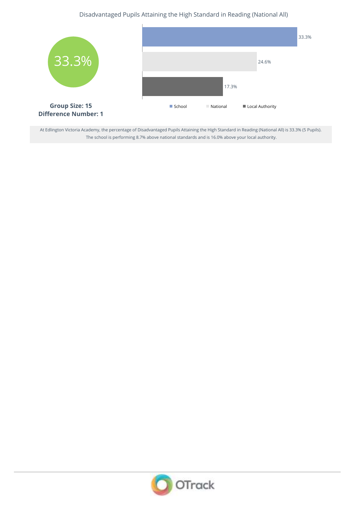### Disadvantaged Pupils Attaining the High Standard in Reading (National All)



At Edlington Victoria Academy, the percentage of Disadvantaged Pupils Attaining the High Standard in Reading (National All) is 33.3% (5 Pupils). The school is performing 8.7% above national standards and is 16.0% above your local authority.

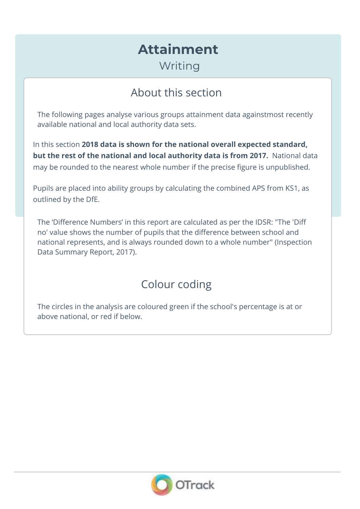# **Attainment**

Writing

## About this section

The following pages analyse various groups attainment data againstmost recently available national and local authority data sets.

In this section **2018 data is shown for the national overall expected standard, but the rest of the national and local authority data is from 2017.** National data may be rounded to the nearest whole number if the precise figure is unpublished.

Pupils are placed into ability groups by calculating the combined APS from KS1, as outlined by the DfE.

The 'Difference Numbers' in this report are calculated as per the IDSR: "The 'Diff no' value shows the number of pupils that the difference between school and national represents, and is always rounded down to a whole number" (Inspection Data Summary Report, 2017).

### Colour coding

The circles in the analysis are coloured green if the school's percentage is at or above national, or red if below.

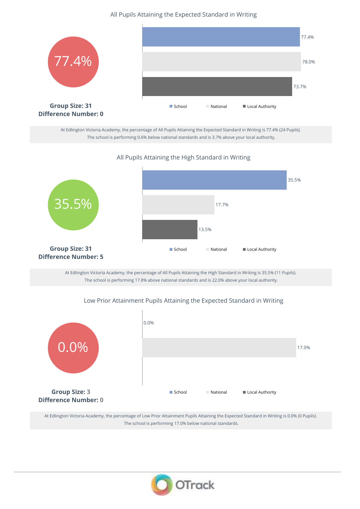All Pupils Attaining the Expected Standard in Writing



At Edlington Victoria Academy, the percentage of All Pupils Attaining the Expected Standard in Writing is 77.4% (24 Pupils). The school is performing 0.6% below national standards and is 3.7% above your local authority.

All Pupils Attaining the High Standard in Writing



At Edlington Victoria Academy, the percentage of All Pupils Attaining the High Standard in Writing is 35.5% (11 Pupils). The school is performing 17.8% above national standards and is 22.0% above your local authority.

#### Low Prior Attainment Pupils Attaining the Expected Standard in Writing



At Edlington Victoria Academy, the percentage of Low Prior Attainment Pupils Attaining the Expected Standard in Writing is 0.0% (0 Pupils). The school is performing 17.0% below national standards.

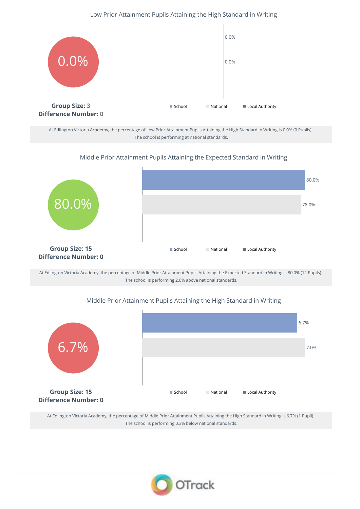### Low Prior Attainment Pupils Attaining the High Standard in Writing



At Edlington Victoria Academy, the percentage of Low Prior Attainment Pupils Attaining the High Standard in Writing is 0.0% (0 Pupils). The school is performing at national standards.

#### Middle Prior Attainment Pupils Attaining the Expected Standard in Writing



At Edlington Victoria Academy, the percentage of Middle Prior Attainment Pupils Attaining the Expected Standard in Writing is 80.0% (12 Pupils). The school is performing 2.0% above national standards.

#### Middle Prior Attainment Pupils Attaining the High Standard in Writing



At Edlington Victoria Academy, the percentage of Middle Prior Attainment Pupils Attaining the High Standard in Writing is 6.7% (1 Pupil). The school is performing 0.3% below national standards.

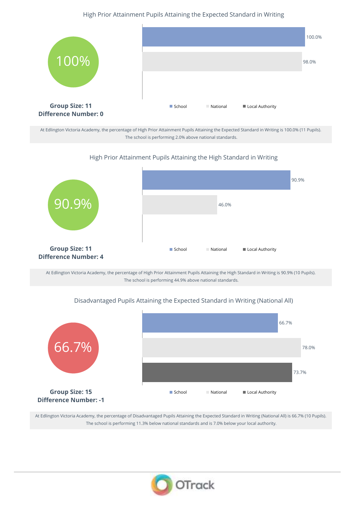#### High Prior Attainment Pupils Attaining the Expected Standard in Writing



At Edlington Victoria Academy, the percentage of High Prior Attainment Pupils Attaining the Expected Standard in Writing is 100.0% (11 Pupils). The school is performing 2.0% above national standards.

#### High Prior Attainment Pupils Attaining the High Standard in Writing



At Edlington Victoria Academy, the percentage of High Prior Attainment Pupils Attaining the High Standard in Writing is 90.9% (10 Pupils). The school is performing 44.9% above national standards.

# Disadvantaged Pupils Attaining the Expected Standard in Writing (National All)



At Edlington Victoria Academy, the percentage of Disadvantaged Pupils Attaining the Expected Standard in Writing (National All) is 66.7% (10 Pupils). The school is performing 11.3% below national standards and is 7.0% below your local authority.

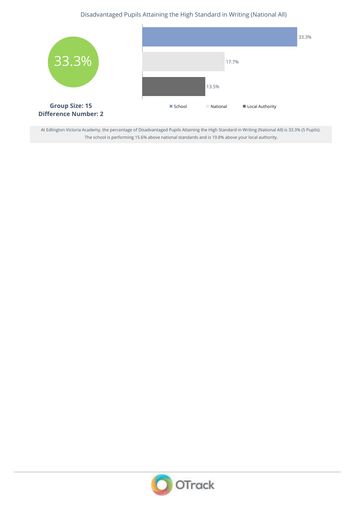Disadvantaged Pupils Attaining the High Standard in Writing (National All)



At Edlington Victoria Academy, the percentage of Disadvantaged Pupils Attaining the High Standard in Writing (National All) is 33.3% (5 Pupils). The school is performing 15.6% above national standards and is 19.8% above your local authority.

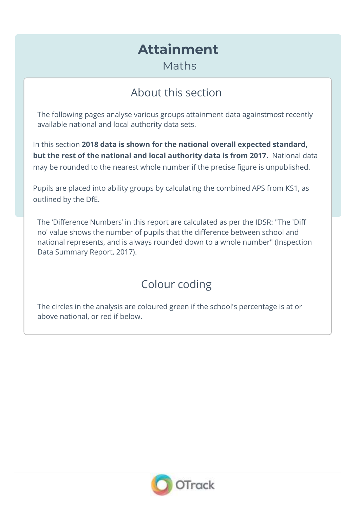# **Attainment**

Maths

### About this section

The following pages analyse various groups attainment data againstmost recently available national and local authority data sets.

In this section **2018 data is shown for the national overall expected standard, but the rest of the national and local authority data is from 2017.** National data may be rounded to the nearest whole number if the precise figure is unpublished.

Pupils are placed into ability groups by calculating the combined APS from KS1, as outlined by the DfE.

The 'Difference Numbers' in this report are calculated as per the IDSR: "The 'Diff no' value shows the number of pupils that the difference between school and national represents, and is always rounded down to a whole number" (Inspection Data Summary Report, 2017).

### Colour coding

The circles in the analysis are coloured green if the school's percentage is at or above national, or red if below.

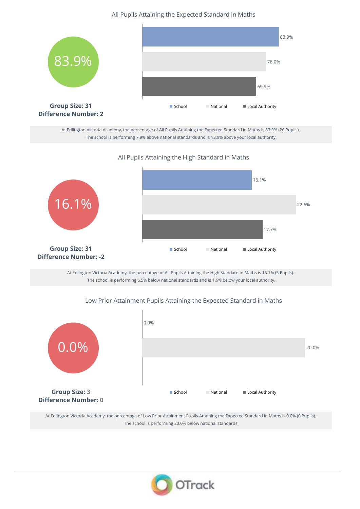All Pupils Attaining the Expected Standard in Maths



At Edlington Victoria Academy, the percentage of All Pupils Attaining the Expected Standard in Maths is 83.9% (26 Pupils). The school is performing 7.9% above national standards and is 13.9% above your local authority.

All Pupils Attaining the High Standard in Maths



At Edlington Victoria Academy, the percentage of All Pupils Attaining the High Standard in Maths is 16.1% (5 Pupils). The school is performing 6.5% below national standards and is 1.6% below your local authority.

### Low Prior Attainment Pupils Attaining the Expected Standard in Maths



At Edlington Victoria Academy, the percentage of Low Prior Attainment Pupils Attaining the Expected Standard in Maths is 0.0% (0 Pupils). The school is performing 20.0% below national standards.

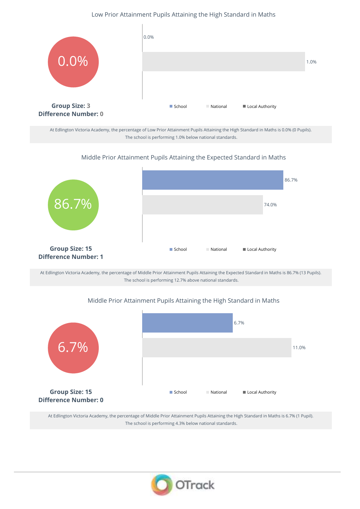#### Low Prior Attainment Pupils Attaining the High Standard in Maths



At Edlington Victoria Academy, the percentage of Low Prior Attainment Pupils Attaining the High Standard in Maths is 0.0% (0 Pupils). The school is performing 1.0% below national standards.

#### Middle Prior Attainment Pupils Attaining the Expected Standard in Maths



At Edlington Victoria Academy, the percentage of Middle Prior Attainment Pupils Attaining the Expected Standard in Maths is 86.7% (13 Pupils). The school is performing 12.7% above national standards.

#### Middle Prior Attainment Pupils Attaining the High Standard in Maths



At Edlington Victoria Academy, the percentage of Middle Prior Attainment Pupils Attaining the High Standard in Maths is 6.7% (1 Pupil). The school is performing 4.3% below national standards.

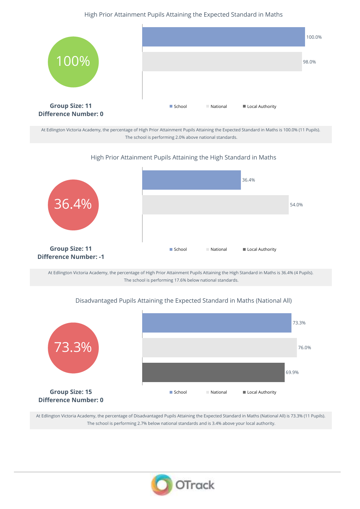#### High Prior Attainment Pupils Attaining the Expected Standard in Maths



At Edlington Victoria Academy, the percentage of High Prior Attainment Pupils Attaining the Expected Standard in Maths is 100.0% (11 Pupils). The school is performing 2.0% above national standards.

#### High Prior Attainment Pupils Attaining the High Standard in Maths



At Edlington Victoria Academy, the percentage of High Prior Attainment Pupils Attaining the High Standard in Maths is 36.4% (4 Pupils). The school is performing 17.6% below national standards.

### Disadvantaged Pupils Attaining the Expected Standard in Maths (National All)



At Edlington Victoria Academy, the percentage of Disadvantaged Pupils Attaining the Expected Standard in Maths (National All) is 73.3% (11 Pupils). The school is performing 2.7% below national standards and is 3.4% above your local authority.

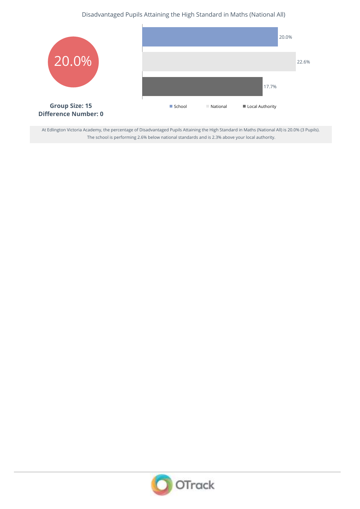### Disadvantaged Pupils Attaining the High Standard in Maths (National All)



At Edlington Victoria Academy, the percentage of Disadvantaged Pupils Attaining the High Standard in Maths (National All) is 20.0% (3 Pupils). The school is performing 2.6% below national standards and is 2.3% above your local authority.

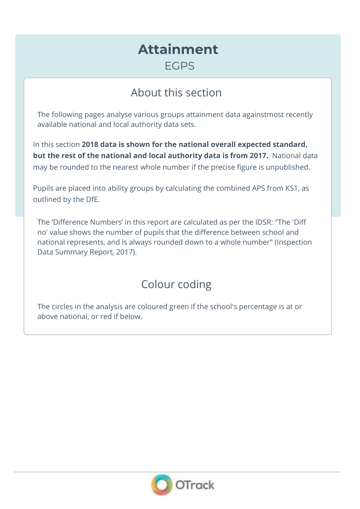### **Attainment FGPS**

### About this section

The following pages analyse various groups attainment data againstmost recently available national and local authority data sets.

In this section **2018 data is shown for the national overall expected standard, but the rest of the national and local authority data is from 2017.** National data may be rounded to the nearest whole number if the precise figure is unpublished.

Pupils are placed into ability groups by calculating the combined APS from KS1, as outlined by the DfE.

The 'Difference Numbers' in this report are calculated as per the IDSR: "The 'Diff no' value shows the number of pupils that the difference between school and national represents, and is always rounded down to a whole number" (Inspection Data Summary Report, 2017).

### Colour coding

The circles in the analysis are coloured green if the school's percentage is at or above national, or red if below.

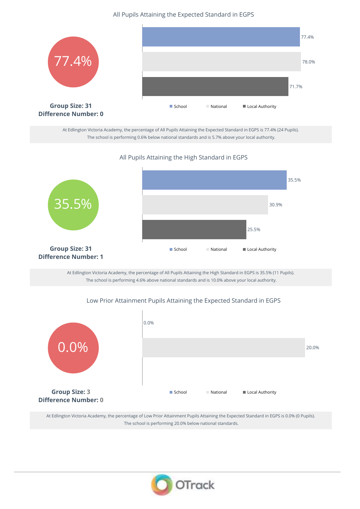All Pupils Attaining the Expected Standard in EGPS



At Edlington Victoria Academy, the percentage of All Pupils Attaining the Expected Standard in EGPS is 77.4% (24 Pupils). The school is performing 0.6% below national standards and is 5.7% above your local authority.

All Pupils Attaining the High Standard in EGPS



At Edlington Victoria Academy, the percentage of All Pupils Attaining the High Standard in EGPS is 35.5% (11 Pupils). The school is performing 4.6% above national standards and is 10.0% above your local authority.

#### Low Prior Attainment Pupils Attaining the Expected Standard in EGPS



At Edlington Victoria Academy, the percentage of Low Prior Attainment Pupils Attaining the Expected Standard in EGPS is 0.0% (0 Pupils). The school is performing 20.0% below national standards.

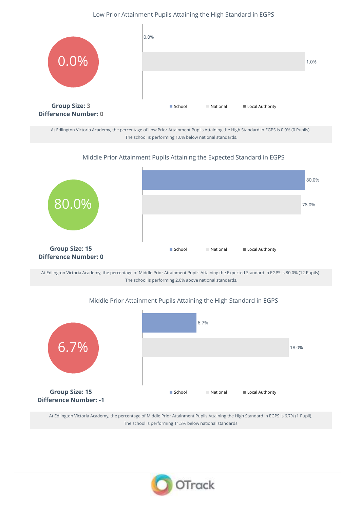#### Low Prior Attainment Pupils Attaining the High Standard in EGPS



At Edlington Victoria Academy, the percentage of Low Prior Attainment Pupils Attaining the High Standard in EGPS is 0.0% (0 Pupils). The school is performing 1.0% below national standards.

#### Middle Prior Attainment Pupils Attaining the Expected Standard in EGPS



At Edlington Victoria Academy, the percentage of Middle Prior Attainment Pupils Attaining the Expected Standard in EGPS is 80.0% (12 Pupils). The school is performing 2.0% above national standards.

#### Middle Prior Attainment Pupils Attaining the High Standard in EGPS



At Edlington Victoria Academy, the percentage of Middle Prior Attainment Pupils Attaining the High Standard in EGPS is 6.7% (1 Pupil). The school is performing 11.3% below national standards.

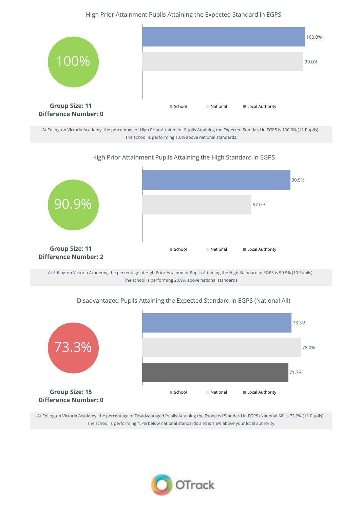#### High Prior Attainment Pupils Attaining the Expected Standard in EGPS



At Edlington Victoria Academy, the percentage of High Prior Attainment Pupils Attaining the Expected Standard in EGPS is 100.0% (11 Pupils). The school is performing 1.0% above national standards.

#### High Prior Attainment Pupils Attaining the High Standard in EGPS



At Edlington Victoria Academy, the percentage of High Prior Attainment Pupils Attaining the High Standard in EGPS is 90.9% (10 Pupils). The school is performing 23.9% above national standards.

### Disadvantaged Pupils Attaining the Expected Standard in EGPS (National All)



At Edlington Victoria Academy, the percentage of Disadvantaged Pupils Attaining the Expected Standard in EGPS (National All) is 73.3% (11 Pupils). The school is performing 4.7% below national standards and is 1.6% above your local authority.

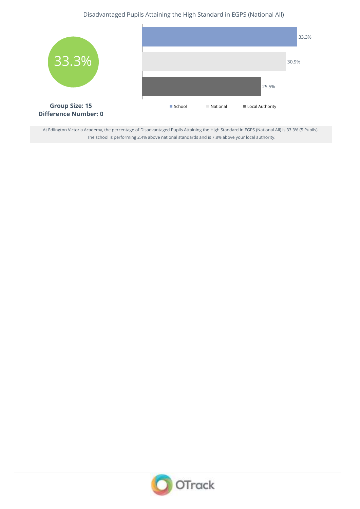### Disadvantaged Pupils Attaining the High Standard in EGPS (National All)



At Edlington Victoria Academy, the percentage of Disadvantaged Pupils Attaining the High Standard in EGPS (National All) is 33.3% (5 Pupils). The school is performing 2.4% above national standards and is 7.8% above your local authority.

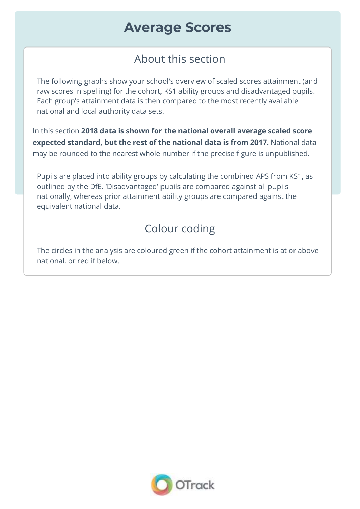## **Average Scores**

### About this section

The following graphs show your school's overview of scaled scores attainment (and raw scores in spelling) for the cohort, KS1 ability groups and disadvantaged pupils. Each group's attainment data is then compared to the most recently available national and local authority data sets.

In this section **2018 data is shown for the national overall average scaled score expected standard, but the rest of the national data is from 2017.** National data may be rounded to the nearest whole number if the precise figure is unpublished.

Pupils are placed into ability groups by calculating the combined APS from KS1, as outlined by the DfE. 'Disadvantaged' pupils are compared against all pupils nationally, whereas prior attainment ability groups are compared against the equivalent national data.

## Colour coding

The circles in the analysis are coloured green if the cohort attainment is at or above national, or red if below.

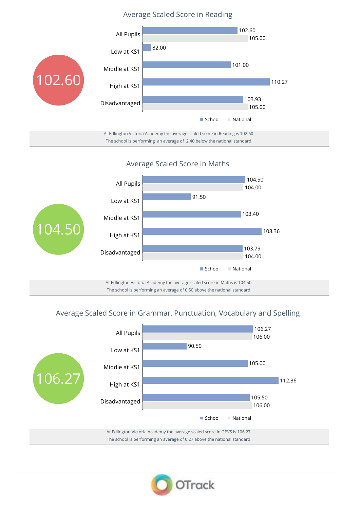### Average Scaled Score in Reading



Average Scaled Score in Maths



### Average Scaled Score in Grammar, Punctuation, Vocabulary and Spelling



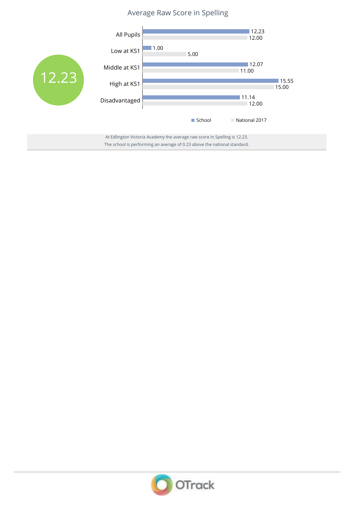### Average Raw Score in Spelling



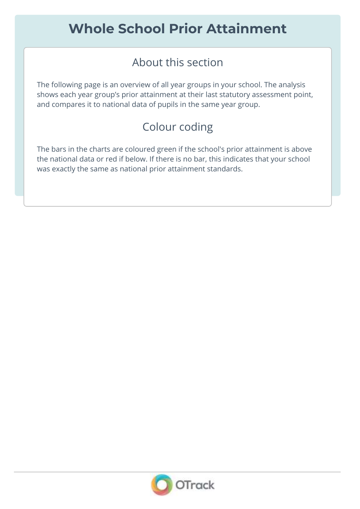### About this section

The following page is an overview of all year groups in your school. The analysis shows each year group's prior attainment at their last statutory assessment point, and compares it to national data of pupils in the same year group.

### Colour coding

The bars in the charts are coloured green if the school's prior attainment is above the national data or red if below. If there is no bar, this indicates that your school was exactly the same as national prior attainment standards.

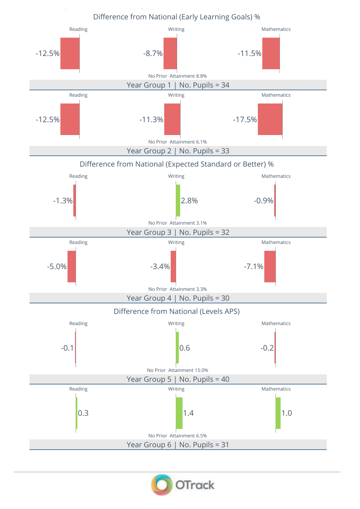

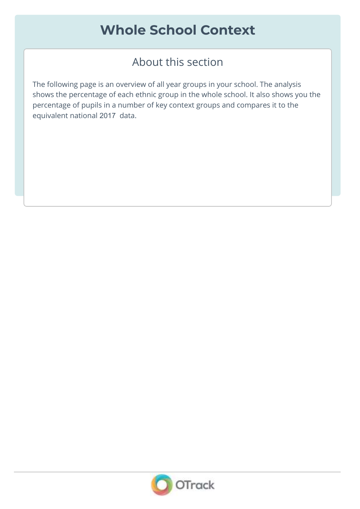# **Whole School Context**

### About this section

The following page is an overview of all year groups in your school. The analysis shows the percentage of each ethnic group in the whole school. It also shows you the percentage of pupils in a number of key context groups and compares it to the equivalent national 2017 data.